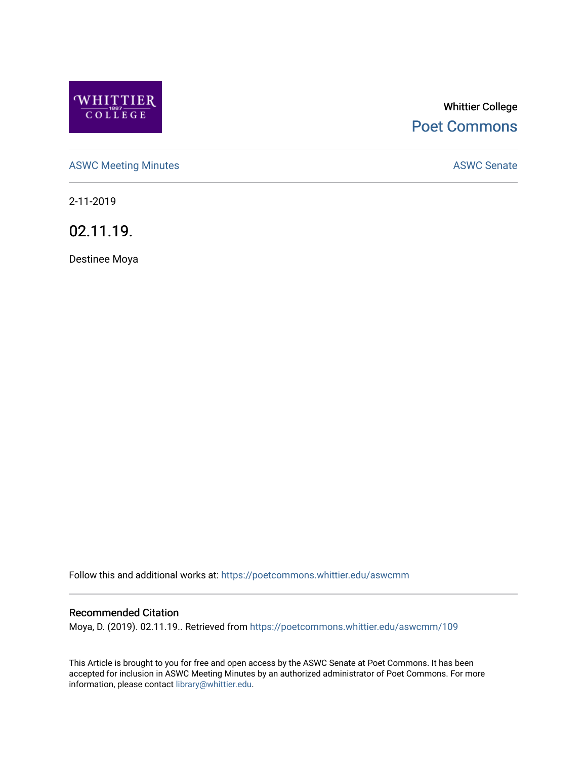

# Whittier College [Poet Commons](https://poetcommons.whittier.edu/)

[ASWC Meeting Minutes](https://poetcommons.whittier.edu/aswcmm) **ASWC Senate** 

2-11-2019

02.11.19.

Destinee Moya

Follow this and additional works at: [https://poetcommons.whittier.edu/aswcmm](https://poetcommons.whittier.edu/aswcmm?utm_source=poetcommons.whittier.edu%2Faswcmm%2F109&utm_medium=PDF&utm_campaign=PDFCoverPages)

#### Recommended Citation

Moya, D. (2019). 02.11.19.. Retrieved from [https://poetcommons.whittier.edu/aswcmm/109](https://poetcommons.whittier.edu/aswcmm/109?utm_source=poetcommons.whittier.edu%2Faswcmm%2F109&utm_medium=PDF&utm_campaign=PDFCoverPages)

This Article is brought to you for free and open access by the ASWC Senate at Poet Commons. It has been accepted for inclusion in ASWC Meeting Minutes by an authorized administrator of Poet Commons. For more information, please contact [library@whittier.edu.](mailto:library@whittier.edu)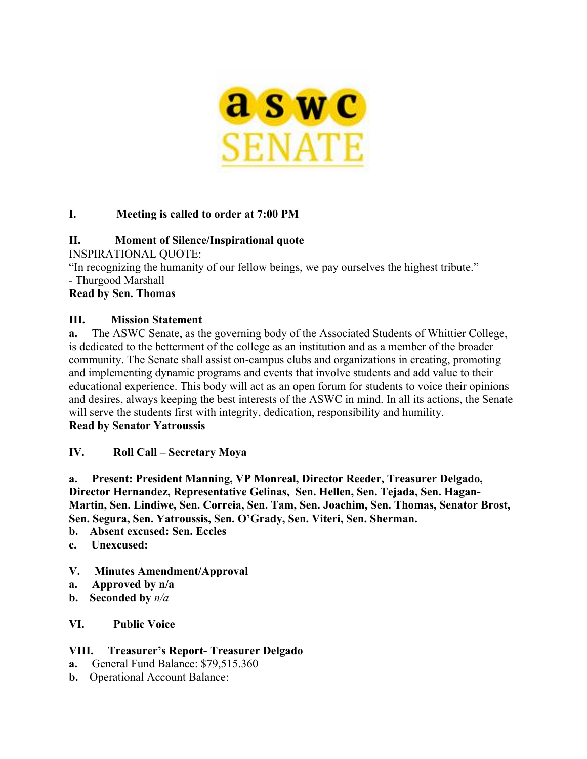

# **I. Meeting is called to order at 7:00 PM**

# **II. Moment of Silence/Inspirational quote**

INSPIRATIONAL QUOTE:

"In recognizing the humanity of our fellow beings, we pay ourselves the highest tribute."

- Thurgood Marshall

# **Read by Sen. Thomas**

## **III. Mission Statement**

**a.** The ASWC Senate, as the governing body of the Associated Students of Whittier College, is dedicated to the betterment of the college as an institution and as a member of the broader community. The Senate shall assist on-campus clubs and organizations in creating, promoting and implementing dynamic programs and events that involve students and add value to their educational experience. This body will act as an open forum for students to voice their opinions and desires, always keeping the best interests of the ASWC in mind. In all its actions, the Senate will serve the students first with integrity, dedication, responsibility and humility.

#### **Read by Senator Yatroussis**

# **IV. Roll Call – Secretary Moya**

**a. Present: President Manning, VP Monreal, Director Reeder, Treasurer Delgado, Director Hernandez, Representative Gelinas, Sen. Hellen, Sen. Tejada, Sen. Hagan-Martin, Sen. Lindiwe, Sen. Correia, Sen. Tam, Sen. Joachim, Sen. Thomas, Senator Brost, Sen. Segura, Sen. Yatroussis, Sen. O'Grady, Sen. Viteri, Sen. Sherman.**

- **b. Absent excused: Sen. Eccles**
- **c. Unexcused:**

## **V. Minutes Amendment/Approval**

- **a. Approved by n/a**
- **b. Seconded by** *n/a*

## **VI. Public Voice**

## **VIII. Treasurer's Report- Treasurer Delgado**

- **a.** General Fund Balance: \$79,515.360
- **b.** Operational Account Balance: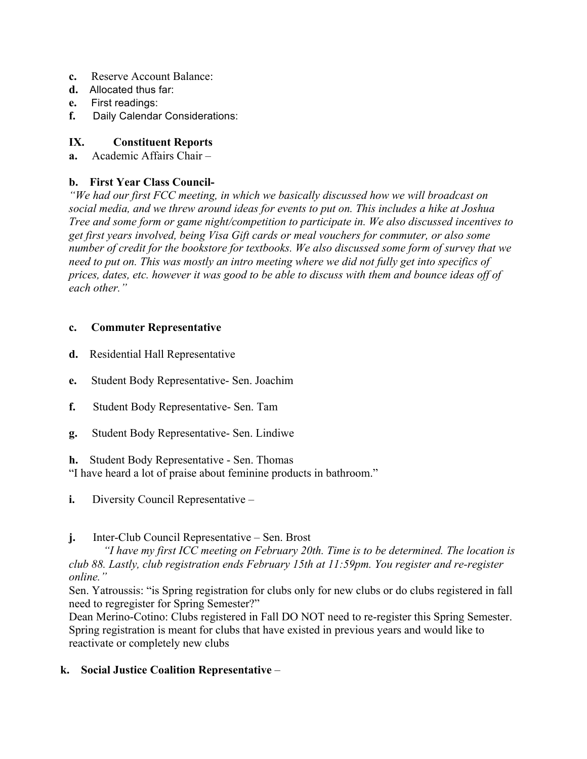- **c.** Reserve Account Balance:
- **d.** Allocated thus far:
- **e.** First readings:
- **f.** Daily Calendar Considerations:

# **IX. Constituent Reports**

**a.** Academic Affairs Chair –

# **b. First Year Class Council-**

*"We had our first FCC meeting, in which we basically discussed how we will broadcast on social media, and we threw around ideas for events to put on. This includes a hike at Joshua Tree and some form or game night/competition to participate in. We also discussed incentives to get first years involved, being Visa Gift cards or meal vouchers for commuter, or also some number of credit for the bookstore for textbooks. We also discussed some form of survey that we need to put on. This was mostly an intro meeting where we did not fully get into specifics of prices, dates, etc. however it was good to be able to discuss with them and bounce ideas off of each other."*

## **c. Commuter Representative**

- **d.** Residential Hall Representative
- **e.** Student Body Representative- Sen. Joachim
- **f.** Student Body Representative- Sen. Tam
- **g.** Student Body Representative- Sen. Lindiwe

**h.** Student Body Representative - Sen. Thomas

"I have heard a lot of praise about feminine products in bathroom."

**i.** Diversity Council Representative –

# **j.** Inter-Club Council Representative – Sen. Brost

*"I have my first ICC meeting on February 20th. Time is to be determined. The location is club 88. Lastly, club registration ends February 15th at 11:59pm. You register and re-register online."*

Sen. Yatroussis: "is Spring registration for clubs only for new clubs or do clubs registered in fall need to regregister for Spring Semester?"

Dean Merino-Cotino: Clubs registered in Fall DO NOT need to re-register this Spring Semester. Spring registration is meant for clubs that have existed in previous years and would like to reactivate or completely new clubs

# **k. Social Justice Coalition Representative** –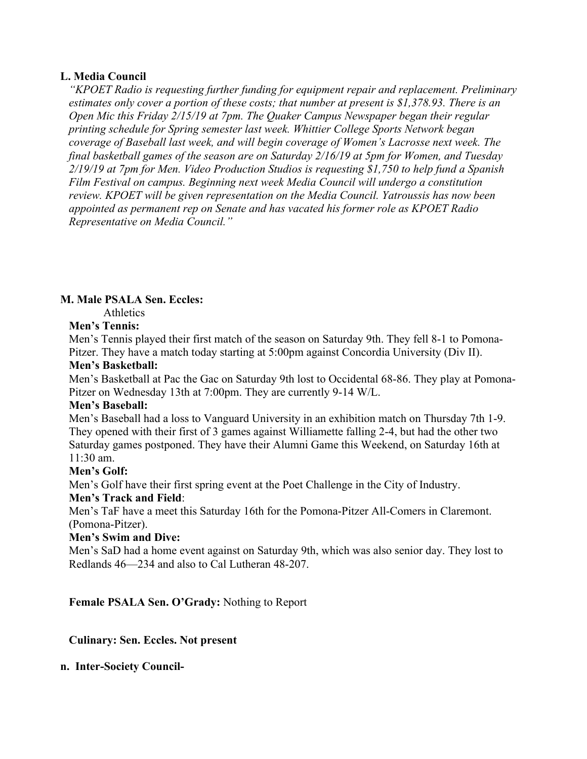### **L. Media Council**

*"KPOET Radio is requesting further funding for equipment repair and replacement. Preliminary estimates only cover a portion of these costs; that number at present is \$1,378.93. There is an Open Mic this Friday 2/15/19 at 7pm. The Quaker Campus Newspaper began their regular printing schedule for Spring semester last week. Whittier College Sports Network began coverage of Baseball last week, and will begin coverage of Women's Lacrosse next week. The final basketball games of the season are on Saturday 2/16/19 at 5pm for Women, and Tuesday 2/19/19 at 7pm for Men. Video Production Studios is requesting \$1,750 to help fund a Spanish Film Festival on campus. Beginning next week Media Council will undergo a constitution review. KPOET will be given representation on the Media Council. Yatroussis has now been appointed as permanent rep on Senate and has vacated his former role as KPOET Radio Representative on Media Council."*

# **M. Male PSALA Sen. Eccles:**

Athletics

#### **Men's Tennis:**

Men's Tennis played their first match of the season on Saturday 9th. They fell 8-1 to Pomona-Pitzer. They have a match today starting at 5:00pm against Concordia University (Div II).

#### **Men's Basketball:**

Men's Basketball at Pac the Gac on Saturday 9th lost to Occidental 68-86. They play at Pomona-Pitzer on Wednesday 13th at 7:00pm. They are currently 9-14 W/L.

#### **Men's Baseball:**

Men's Baseball had a loss to Vanguard University in an exhibition match on Thursday 7th 1-9. They opened with their first of 3 games against Williamette falling 2-4, but had the other two Saturday games postponed. They have their Alumni Game this Weekend, on Saturday 16th at 11:30 am.

## **Men's Golf:**

Men's Golf have their first spring event at the Poet Challenge in the City of Industry.

## **Men's Track and Field**:

Men's TaF have a meet this Saturday 16th for the Pomona-Pitzer All-Comers in Claremont. (Pomona-Pitzer).

## **Men's Swim and Dive:**

Men's SaD had a home event against on Saturday 9th, which was also senior day. They lost to Redlands 46—234 and also to Cal Lutheran 48-207.

**Female PSALA Sen. O'Grady:** Nothing to Report

## **Culinary: Sen. Eccles. Not present**

#### **n. Inter-Society Council-**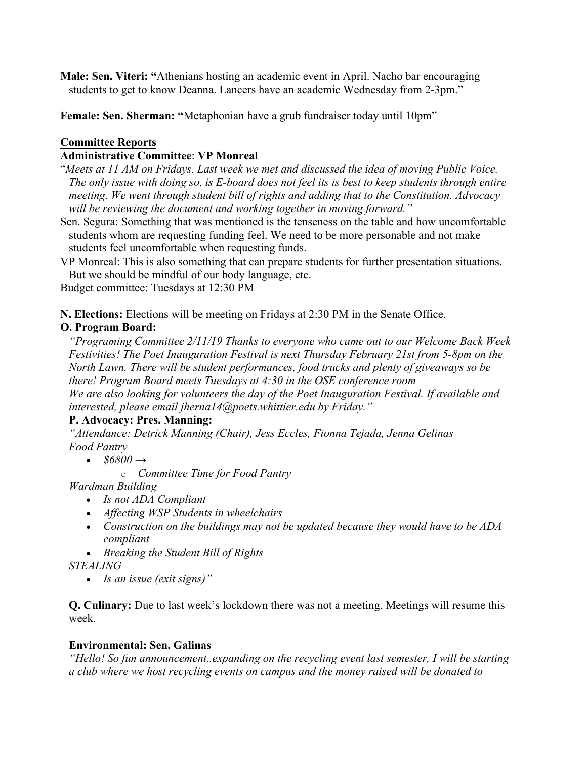**Male: Sen. Viteri: "**Athenians hosting an academic event in April. Nacho bar encouraging students to get to know Deanna. Lancers have an academic Wednesday from 2-3pm."

**Female: Sen. Sherman: "**Metaphonian have a grub fundraiser today until 10pm"

# **Committee Reports**

# **Administrative Committee**: **VP Monreal**

- "*Meets at 11 AM on Fridays. Last week we met and discussed the idea of moving Public Voice. The only issue with doing so, is E-board does not feel its is best to keep students through entire meeting. We went through student bill of rights and adding that to the Constitution. Advocacy will be reviewing the document and working together in moving forward."*
- Sen. Segura: Something that was mentioned is the tenseness on the table and how uncomfortable students whom are requesting funding feel. We need to be more personable and not make students feel uncomfortable when requesting funds.
- VP Monreal: This is also something that can prepare students for further presentation situations. But we should be mindful of our body language, etc.

Budget committee: Tuesdays at 12:30 PM

**N. Elections:** Elections will be meeting on Fridays at 2:30 PM in the Senate Office.

# **O. Program Board:**

*"Programing Committee 2/11/19 Thanks to everyone who came out to our Welcome Back Week Festivities! The Poet Inauguration Festival is next Thursday February 21st from 5-8pm on the North Lawn. There will be student performances, food trucks and plenty of giveaways so be there! Program Board meets Tuesdays at 4:30 in the OSE conference room We are also looking for volunteers the day of the Poet Inauguration Festival. If available and interested, please email jherna14@poets.whittier.edu by Friday."*

# **P. Advocacy: Pres. Manning:**

*"Attendance: Detrick Manning (Chair), Jess Eccles, Fionna Tejada, Jenna Gelinas Food Pantry*

- *\$6800 →*
	- o *Committee Time for Food Pantry*

*Wardman Building*

- *Is not ADA Compliant*
- *Affecting WSP Students in wheelchairs*
- *Construction on the buildings may not be updated because they would have to be ADA compliant*
- *Breaking the Student Bill of Rights*

*STEALING*

• *Is an issue (exit signs)"*

**Q. Culinary:** Due to last week's lockdown there was not a meeting. Meetings will resume this week.

# **Environmental: Sen. Galinas**

*"Hello! So fun announcement..expanding on the recycling event last semester, I will be starting a club where we host recycling events on campus and the money raised will be donated to*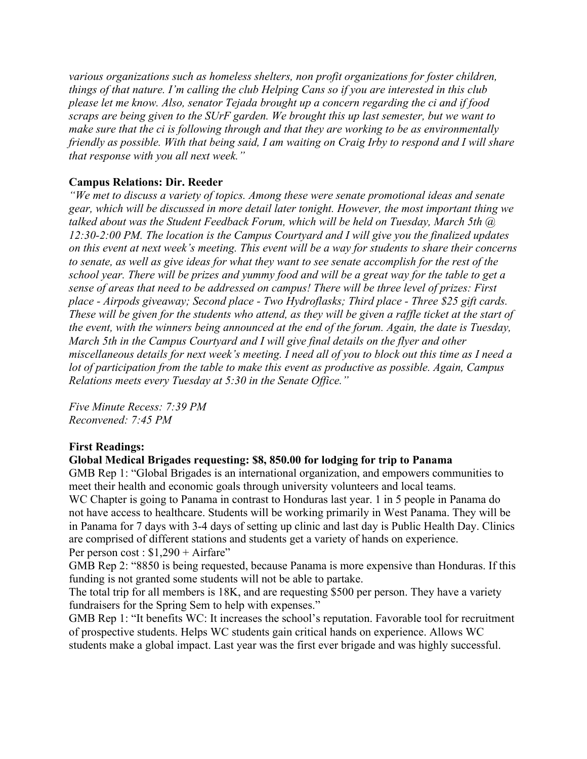*various organizations such as homeless shelters, non profit organizations for foster children, things of that nature. I'm calling the club Helping Cans so if you are interested in this club please let me know. Also, senator Tejada brought up a concern regarding the ci and if food scraps are being given to the SUrF garden. We brought this up last semester, but we want to make sure that the ci is following through and that they are working to be as environmentally friendly as possible. With that being said, I am waiting on Craig Irby to respond and I will share that response with you all next week."*

# **Campus Relations: Dir. Reeder**

*"We met to discuss a variety of topics. Among these were senate promotional ideas and senate gear, which will be discussed in more detail later tonight. However, the most important thing we talked about was the Student Feedback Forum, which will be held on Tuesday, March 5th @ 12:30-2:00 PM. The location is the Campus Courtyard and I will give you the finalized updates on this event at next week's meeting. This event will be a way for students to share their concerns to senate, as well as give ideas for what they want to see senate accomplish for the rest of the school year. There will be prizes and yummy food and will be a great way for the table to get a sense of areas that need to be addressed on campus! There will be three level of prizes: First place - Airpods giveaway; Second place - Two Hydroflasks; Third place - Three \$25 gift cards. These will be given for the students who attend, as they will be given a raffle ticket at the start of the event, with the winners being announced at the end of the forum. Again, the date is Tuesday, March 5th in the Campus Courtyard and I will give final details on the flyer and other miscellaneous details for next week's meeting. I need all of you to block out this time as I need a lot of participation from the table to make this event as productive as possible. Again, Campus Relations meets every Tuesday at 5:30 in the Senate Office."*

*Five Minute Recess: 7:39 PM Reconvened: 7:45 PM*

## **First Readings:**

## **Global Medical Brigades requesting: \$8, 850.00 for lodging for trip to Panama**

GMB Rep 1: "Global Brigades is an international organization, and empowers communities to meet their health and economic goals through university volunteers and local teams. WC Chapter is going to Panama in contrast to Honduras last year. 1 in 5 people in Panama do not have access to healthcare. Students will be working primarily in West Panama. They will be in Panama for 7 days with 3-4 days of setting up clinic and last day is Public Health Day. Clinics are comprised of different stations and students get a variety of hands on experience. Per person cost :  $$1,290 + Airfare$ 

GMB Rep 2: "8850 is being requested, because Panama is more expensive than Honduras. If this funding is not granted some students will not be able to partake.

The total trip for all members is 18K, and are requesting \$500 per person. They have a variety fundraisers for the Spring Sem to help with expenses."

GMB Rep 1: "It benefits WC: It increases the school's reputation. Favorable tool for recruitment of prospective students. Helps WC students gain critical hands on experience. Allows WC students make a global impact. Last year was the first ever brigade and was highly successful.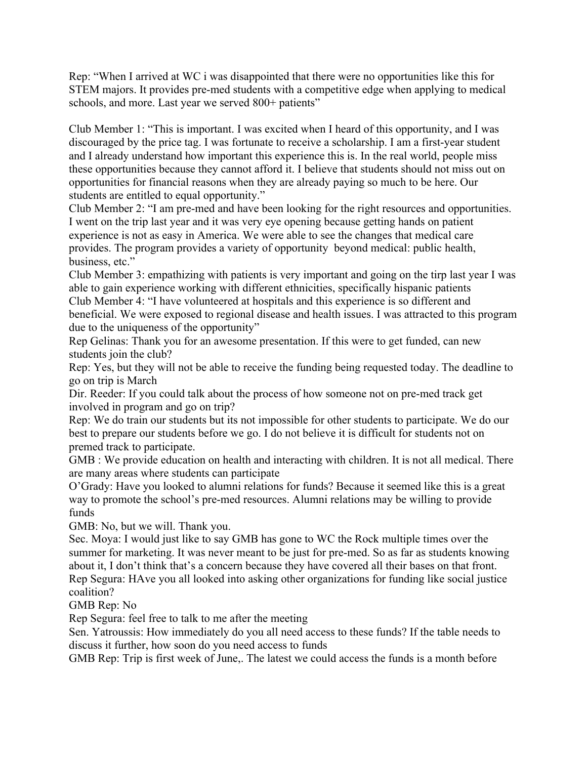Rep: "When I arrived at WC i was disappointed that there were no opportunities like this for STEM majors. It provides pre-med students with a competitive edge when applying to medical schools, and more. Last year we served 800+ patients"

Club Member 1: "This is important. I was excited when I heard of this opportunity, and I was discouraged by the price tag. I was fortunate to receive a scholarship. I am a first-year student and I already understand how important this experience this is. In the real world, people miss these opportunities because they cannot afford it. I believe that students should not miss out on opportunities for financial reasons when they are already paying so much to be here. Our students are entitled to equal opportunity."

Club Member 2: "I am pre-med and have been looking for the right resources and opportunities. I went on the trip last year and it was very eye opening because getting hands on patient experience is not as easy in America. We were able to see the changes that medical care provides. The program provides a variety of opportunity beyond medical: public health, business, etc."

Club Member 3: empathizing with patients is very important and going on the tirp last year I was able to gain experience working with different ethnicities, specifically hispanic patients Club Member 4: "I have volunteered at hospitals and this experience is so different and beneficial. We were exposed to regional disease and health issues. I was attracted to this program due to the uniqueness of the opportunity"

Rep Gelinas: Thank you for an awesome presentation. If this were to get funded, can new students join the club?

Rep: Yes, but they will not be able to receive the funding being requested today. The deadline to go on trip is March

Dir. Reeder: If you could talk about the process of how someone not on pre-med track get involved in program and go on trip?

Rep: We do train our students but its not impossible for other students to participate. We do our best to prepare our students before we go. I do not believe it is difficult for students not on premed track to participate.

GMB : We provide education on health and interacting with children. It is not all medical. There are many areas where students can participate

O'Grady: Have you looked to alumni relations for funds? Because it seemed like this is a great way to promote the school's pre-med resources. Alumni relations may be willing to provide funds

GMB: No, but we will. Thank you.

Sec. Moya: I would just like to say GMB has gone to WC the Rock multiple times over the summer for marketing. It was never meant to be just for pre-med. So as far as students knowing about it, I don't think that's a concern because they have covered all their bases on that front. Rep Segura: HAve you all looked into asking other organizations for funding like social justice coalition?

GMB Rep: No

Rep Segura: feel free to talk to me after the meeting

Sen. Yatroussis: How immediately do you all need access to these funds? If the table needs to discuss it further, how soon do you need access to funds

GMB Rep: Trip is first week of June,. The latest we could access the funds is a month before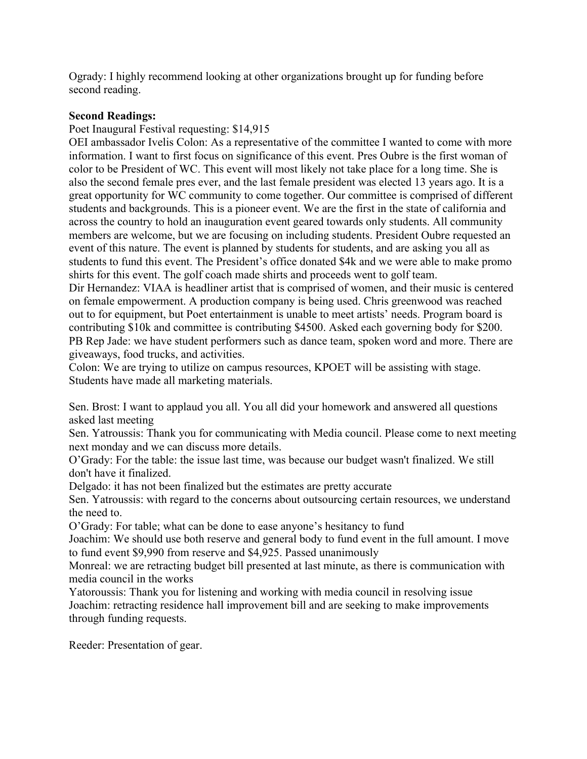Ogrady: I highly recommend looking at other organizations brought up for funding before second reading.

## **Second Readings:**

Poet Inaugural Festival requesting: \$14,915

OEI ambassador Ivelis Colon: As a representative of the committee I wanted to come with more information. I want to first focus on significance of this event. Pres Oubre is the first woman of color to be President of WC. This event will most likely not take place for a long time. She is also the second female pres ever, and the last female president was elected 13 years ago. It is a great opportunity for WC community to come together. Our committee is comprised of different students and backgrounds. This is a pioneer event. We are the first in the state of california and across the country to hold an inauguration event geared towards only students. All community members are welcome, but we are focusing on including students. President Oubre requested an event of this nature. The event is planned by students for students, and are asking you all as students to fund this event. The President's office donated \$4k and we were able to make promo shirts for this event. The golf coach made shirts and proceeds went to golf team.

Dir Hernandez: VIAA is headliner artist that is comprised of women, and their music is centered on female empowerment. A production company is being used. Chris greenwood was reached out to for equipment, but Poet entertainment is unable to meet artists' needs. Program board is contributing \$10k and committee is contributing \$4500. Asked each governing body for \$200. PB Rep Jade: we have student performers such as dance team, spoken word and more. There are giveaways, food trucks, and activities.

Colon: We are trying to utilize on campus resources, KPOET will be assisting with stage. Students have made all marketing materials.

Sen. Brost: I want to applaud you all. You all did your homework and answered all questions asked last meeting

Sen. Yatroussis: Thank you for communicating with Media council. Please come to next meeting next monday and we can discuss more details.

O'Grady: For the table: the issue last time, was because our budget wasn't finalized. We still don't have it finalized.

Delgado: it has not been finalized but the estimates are pretty accurate

Sen. Yatroussis: with regard to the concerns about outsourcing certain resources, we understand the need to.

O'Grady: For table; what can be done to ease anyone's hesitancy to fund

Joachim: We should use both reserve and general body to fund event in the full amount. I move to fund event \$9,990 from reserve and \$4,925. Passed unanimously

Monreal: we are retracting budget bill presented at last minute, as there is communication with media council in the works

Yatoroussis: Thank you for listening and working with media council in resolving issue Joachim: retracting residence hall improvement bill and are seeking to make improvements through funding requests.

Reeder: Presentation of gear.